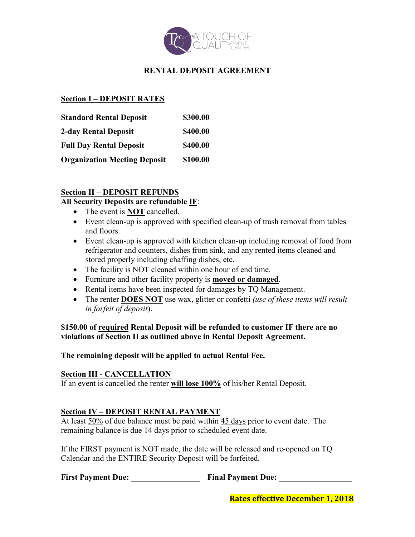

## **RENTAL DEPOSIT AGREEMENT**

## **Section I – DEPOSIT RATES**

| <b>Standard Rental Deposit</b>      | \$300.00 |
|-------------------------------------|----------|
| 2-day Rental Deposit                | \$400.00 |
| <b>Full Day Rental Deposit</b>      | \$400.00 |
| <b>Organization Meeting Deposit</b> | \$100.00 |

## **Section II – DEPOSIT REFUNDS**

## **All Security Deposits are refundable IF**:

- The event is **NOT** cancelled.
- Event clean-up is approved with specified clean-up of trash removal from tables and floors.
- Event clean-up is approved with kitchen clean-up including removal of food from refrigerator and counters, dishes from sink, and any rented items cleaned and stored properly including chaffing dishes, etc.
- The facility is NOT cleaned within one hour of end time.
- Furniture and other facility property is **moved or damaged**.
- Rental items have been inspected for damages by TQ Management.
- The renter **DOES NOT** use wax, glitter or confetti *(use of these items will result in forfeit of deposit*).

**\$150.00 of required Rental Deposit will be refunded to customer IF there are no violations of Section II as outlined above in Rental Deposit Agreement.** 

**The remaining deposit will be applied to actual Rental Fee.**

#### **Section III - CANCELLATION**

If an event is cancelled the renter **will lose 100%** of his/her Rental Deposit.

#### **Section IV – DEPOSIT RENTAL PAYMENT**

At least  $50\%$  of due balance must be paid within  $45$  days prior to event date. The remaining balance is due 14 days prior to scheduled event date.

If the FIRST payment is NOT made, the date will be released and re-opened on TQ Calendar and the ENTIRE Security Deposit will be forfeited.

**First Payment Due: \_\_\_\_\_\_\_\_\_\_\_\_\_\_\_\_\_ Final Payment Due: \_\_\_\_\_\_\_\_\_\_\_\_\_\_\_\_\_\_**

**Rates effective December 1, 2018**